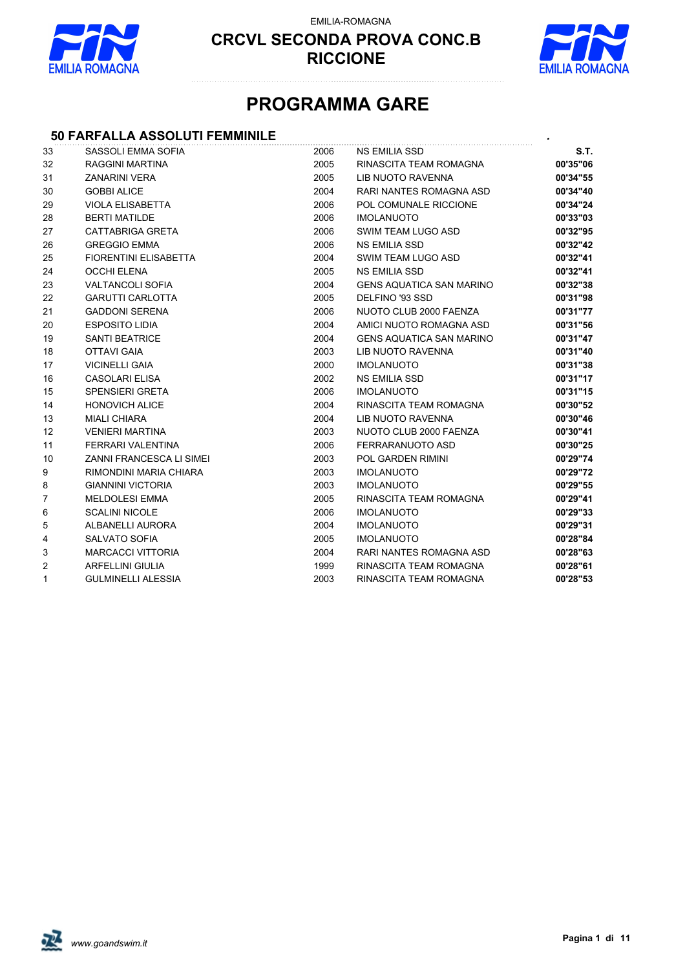

EMILIA-ROMAGNA



## **PROGRAMMA GARE**

#### **50 FARFALLA ASSOLUTI FEMMINILE** *.*

| 33 | SASSOLI EMMA SOFIA              | 2006 | <b>NS EMILIA SSD</b>            | S.T.     |
|----|---------------------------------|------|---------------------------------|----------|
| 32 | <b>RAGGINI MARTINA</b>          | 2005 | RINASCITA TEAM ROMAGNA          | 00'35"06 |
| 31 | <b>ZANARINI VERA</b>            | 2005 | LIB NUOTO RAVENNA               | 00'34"55 |
| 30 | <b>GOBBI ALICE</b>              | 2004 | RARI NANTES ROMAGNA ASD         | 00'34"40 |
| 29 | <b>VIOLA ELISABETTA</b>         | 2006 | POL COMUNALE RICCIONE           | 00'34"24 |
| 28 | <b>BERTI MATILDE</b>            | 2006 | <b>IMOLANUOTO</b>               | 00'33"03 |
| 27 | <b>CATTABRIGA GRETA</b>         | 2006 | SWIM TEAM LUGO ASD              | 00'32"95 |
| 26 | <b>GREGGIO EMMA</b>             | 2006 | <b>NS EMILIA SSD</b>            | 00'32"42 |
| 25 | <b>FIORENTINI ELISABETTA</b>    | 2004 | SWIM TEAM LUGO ASD              | 00'32"41 |
| 24 | <b>OCCHI ELENA</b>              | 2005 | <b>NS EMILIA SSD</b>            | 00'32"41 |
| 23 | <b>VALTANCOLI SOFIA</b>         | 2004 | <b>GENS AQUATICA SAN MARINO</b> | 00'32"38 |
| 22 | <b>GARUTTI CARLOTTA</b>         | 2005 | DELFINO '93 SSD                 | 00'31"98 |
| 21 | <b>GADDONI SERENA</b>           | 2006 | NUOTO CLUB 2000 FAENZA          | 00'31"77 |
| 20 | <b>ESPOSITO LIDIA</b>           | 2004 | AMICI NUOTO ROMAGNA ASD         | 00'31"56 |
| 19 | <b>SANTI BEATRICE</b>           | 2004 | <b>GENS AQUATICA SAN MARINO</b> | 00'31"47 |
| 18 | <b>OTTAVI GAIA</b>              | 2003 | LIB NUOTO RAVENNA               | 00'31"40 |
| 17 | <b>VICINELLI GAIA</b>           | 2000 | <b>IMOLANUOTO</b>               | 00'31"38 |
| 16 | <b>CASOLARI ELISA</b>           | 2002 | <b>NS EMILIA SSD</b>            | 00'31"17 |
| 15 | <b>SPENSIERI GRETA</b>          | 2006 | <b>IMOLANUOTO</b>               | 00'31"15 |
| 14 | <b>HONOVICH ALICE</b>           | 2004 | RINASCITA TEAM ROMAGNA          | 00'30"52 |
| 13 | <b>MIALI CHIARA</b>             | 2004 | LIB NUOTO RAVENNA               | 00'30"46 |
| 12 | <b>VENIERI MARTINA</b>          | 2003 | NUOTO CLUB 2000 FAENZA          | 00'30"41 |
| 11 | FERRARI VALENTINA               | 2006 | FERRARANUOTO ASD                | 00'30"25 |
| 10 | <b>ZANNI FRANCESCA LI SIMEI</b> | 2003 | POL GARDEN RIMINI               | 00'29"74 |
| 9  | RIMONDINI MARIA CHIARA          | 2003 | <b>IMOLANUOTO</b>               | 00'29"72 |
| 8  | <b>GIANNINI VICTORIA</b>        | 2003 | <b>IMOLANUOTO</b>               | 00'29"55 |
| 7  | <b>MELDOLESI EMMA</b>           | 2005 | RINASCITA TEAM ROMAGNA          | 00'29"41 |
| 6  | <b>SCALINI NICOLE</b>           | 2006 | <b>IMOLANUOTO</b>               | 00'29"33 |
| 5  | ALBANELLI AURORA                | 2004 | <b>IMOLANUOTO</b>               | 00'29"31 |
| 4  | <b>SALVATO SOFIA</b>            | 2005 | <b>IMOLANUOTO</b>               | 00'28"84 |
| 3  | <b>MARCACCI VITTORIA</b>        | 2004 | RARI NANTES ROMAGNA ASD         | 00'28"63 |
| 2  | <b>ARFELLINI GIULIA</b>         | 1999 | RINASCITA TEAM ROMAGNA          | 00'28"61 |
| 1  | <b>GULMINELLI ALESSIA</b>       | 2003 | RINASCITA TEAM ROMAGNA          | 00'28"53 |
|    |                                 |      |                                 |          |

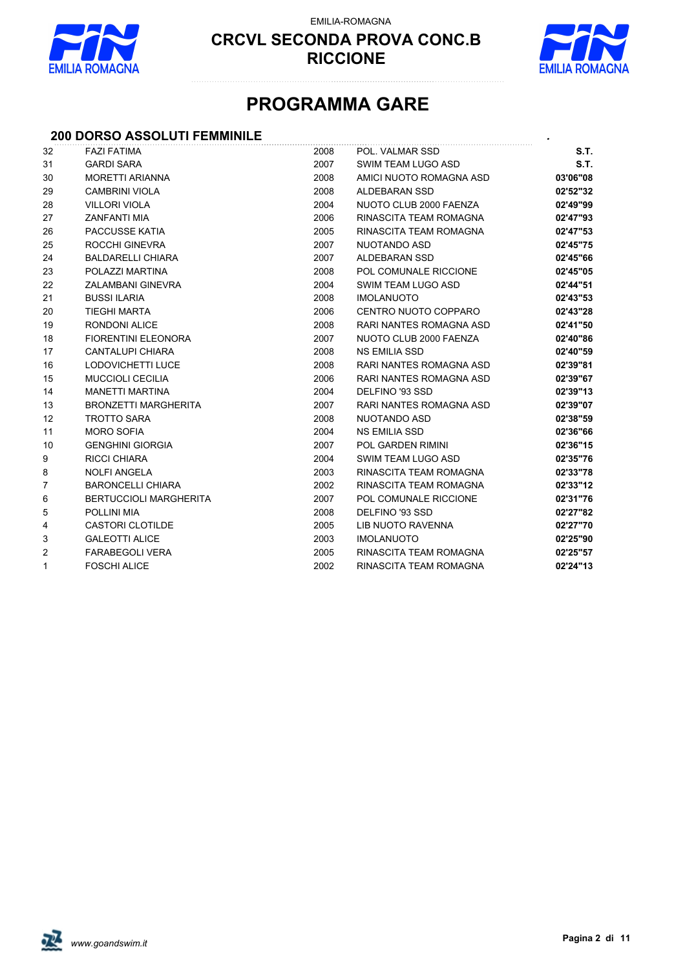

EMILIA-ROMAGNA



## **PROGRAMMA GARE**

#### **200 DORSO ASSOLUTI FEMMINILE** *.*

| 32             | <b>FAZI FATIMA</b>            | 2008 | POL. VALMAR SSD          | S.T.     |
|----------------|-------------------------------|------|--------------------------|----------|
| 31             | <b>GARDI SARA</b>             | 2007 | SWIM TEAM LUGO ASD       | S.T.     |
| 30             | <b>MORETTI ARIANNA</b>        | 2008 | AMICI NUOTO ROMAGNA ASD  | 03'06"08 |
| 29             | CAMBRINI VIOLA                | 2008 | <b>ALDEBARAN SSD</b>     | 02'52"32 |
| 28             | <b>VILLORI VIOLA</b>          | 2004 | NUOTO CLUB 2000 FAENZA   | 02'49"99 |
| 27             | <b>ZANFANTI MIA</b>           | 2006 | RINASCITA TEAM ROMAGNA   | 02'47"93 |
| 26             | PACCUSSE KATIA                | 2005 | RINASCITA TEAM ROMAGNA   | 02'47"53 |
| 25             | ROCCHI GINEVRA                | 2007 | NUOTANDO ASD             | 02'45"75 |
| 24             | <b>BALDARELLI CHIARA</b>      | 2007 | ALDEBARAN SSD            | 02'45"66 |
| 23             | POLAZZI MARTINA               | 2008 | POL COMUNALE RICCIONE    | 02'45"05 |
| 22             | ZALAMBANI GINEVRA             | 2004 | SWIM TEAM LUGO ASD       | 02'44"51 |
| 21             | <b>BUSSI ILARIA</b>           | 2008 | <b>IMOLANUOTO</b>        | 02'43"53 |
| 20             | <b>TIEGHI MARTA</b>           | 2006 | CENTRO NUOTO COPPARO     | 02'43"28 |
| 19             | <b>RONDONI ALICE</b>          | 2008 | RARI NANTES ROMAGNA ASD  | 02'41"50 |
| 18             | <b>FIORENTINI ELEONORA</b>    | 2007 | NUOTO CLUB 2000 FAENZA   | 02'40"86 |
| 17             | <b>CANTALUPI CHIARA</b>       | 2008 | <b>NS EMILIA SSD</b>     | 02'40"59 |
| 16             | LODOVICHETTI LUCE             | 2008 | RARI NANTES ROMAGNA ASD  | 02'39"81 |
| 15             | <b>MUCCIOLI CECILIA</b>       | 2006 | RARI NANTES ROMAGNA ASD  | 02'39"67 |
| 14             | <b>MANETTI MARTINA</b>        | 2004 | DELFINO '93 SSD          | 02'39"13 |
| 13             | <b>BRONZETTI MARGHERITA</b>   | 2007 | RARI NANTES ROMAGNA ASD  | 02'39"07 |
| 12             | <b>TROTTO SARA</b>            | 2008 | NUOTANDO ASD             | 02'38"59 |
| 11             | <b>MORO SOFIA</b>             | 2004 | <b>NS EMILIA SSD</b>     | 02'36"66 |
| 10             | <b>GENGHINI GIORGIA</b>       | 2007 | POL GARDEN RIMINI        | 02'36"15 |
| 9              | <b>RICCI CHIARA</b>           | 2004 | SWIM TEAM LUGO ASD       | 02'35"76 |
| 8              | <b>NOLFI ANGELA</b>           | 2003 | RINASCITA TEAM ROMAGNA   | 02'33"78 |
| 7              | <b>BARONCELLI CHIARA</b>      | 2002 | RINASCITA TEAM ROMAGNA   | 02'33"12 |
| 6              | <b>BERTUCCIOLI MARGHERITA</b> | 2007 | POL COMUNALE RICCIONE    | 02'31"76 |
| 5              | <b>POLLINI MIA</b>            | 2008 | DELFINO '93 SSD          | 02'27"82 |
| 4              | <b>CASTORI CLOTILDE</b>       | 2005 | <b>LIB NUOTO RAVENNA</b> | 02'27"70 |
| 3              | <b>GALEOTTI ALICE</b>         | 2003 | <b>IMOLANUOTO</b>        | 02'25"90 |
| $\overline{c}$ | <b>FARABEGOLI VERA</b>        | 2005 | RINASCITA TEAM ROMAGNA   | 02'25"57 |
| 1              | <b>FOSCHI ALICE</b>           | 2002 | RINASCITA TEAM ROMAGNA   | 02'24"13 |
|                |                               |      |                          |          |

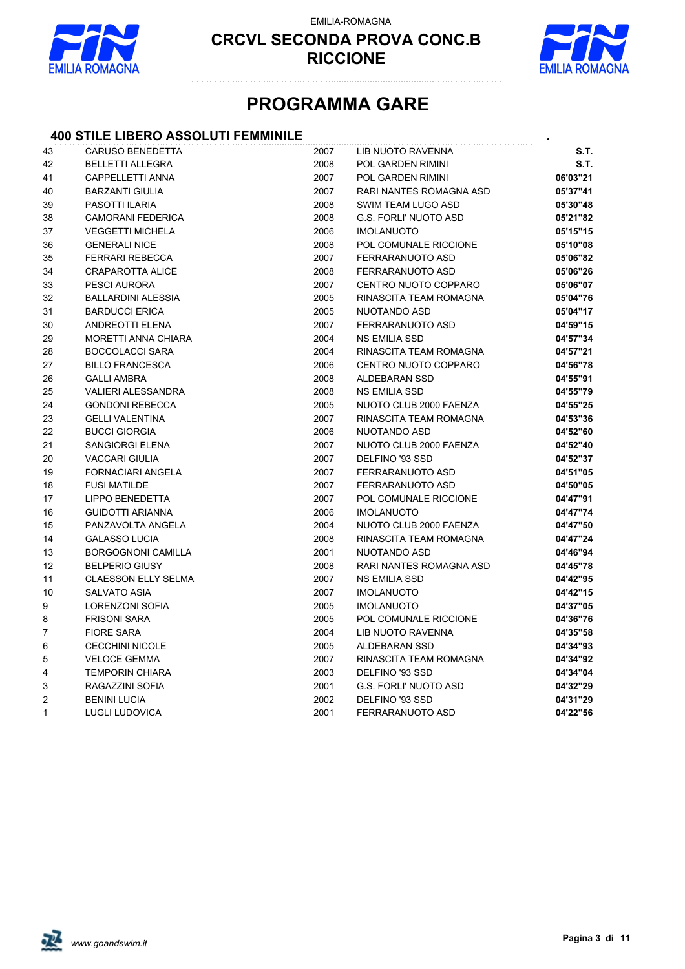

EMILIA-ROMAGNA



## **PROGRAMMA GARE**

#### **400 STILE LIBERO ASSOLUTI FEMMINILE** *.*

| 43           | <b>CARUSO BENEDETTA</b>    | 2007 | LIB NUOTO RAVENNA            | S.T.     |
|--------------|----------------------------|------|------------------------------|----------|
| 42           | <b>BELLETTI ALLEGRA</b>    | 2008 | POL GARDEN RIMINI            | S.T.     |
| 41           | CAPPELLETTI ANNA           | 2007 | POL GARDEN RIMINI            | 06'03"21 |
| 40           | <b>BARZANTI GIULIA</b>     | 2007 | RARI NANTES ROMAGNA ASD      | 05'37"41 |
| 39           | PASOTTI ILARIA             | 2008 | SWIM TEAM LUGO ASD           | 05'30"48 |
| 38           | <b>CAMORANI FEDERICA</b>   | 2008 | <b>G.S. FORLI' NUOTO ASD</b> | 05'21"82 |
| 37           | <b>VEGGETTI MICHELA</b>    | 2006 | <b>IMOLANUOTO</b>            | 05'15"15 |
| 36           | <b>GENERALI NICE</b>       | 2008 | POL COMUNALE RICCIONE        | 05'10"08 |
| 35           | <b>FERRARI REBECCA</b>     | 2007 | FERRARANUOTO ASD             | 05'06"82 |
| 34           | <b>CRAPAROTTA ALICE</b>    | 2008 | FERRARANUOTO ASD             | 05'06"26 |
| 33           | PESCI AURORA               | 2007 | CENTRO NUOTO COPPARO         | 05'06"07 |
| 32           | <b>BALLARDINI ALESSIA</b>  | 2005 | RINASCITA TEAM ROMAGNA       | 05'04"76 |
| 31           | <b>BARDUCCI ERICA</b>      | 2005 | <b>NUOTANDO ASD</b>          | 05'04"17 |
| 30           | ANDREOTTI ELENA            | 2007 | FERRARANUOTO ASD             | 04'59"15 |
| 29           | MORETTI ANNA CHIARA        | 2004 | <b>NS EMILIA SSD</b>         | 04'57"34 |
| 28           | <b>BOCCOLACCI SARA</b>     | 2004 | RINASCITA TEAM ROMAGNA       | 04'57"21 |
| 27           | <b>BILLO FRANCESCA</b>     | 2006 | CENTRO NUOTO COPPARO         | 04'56"78 |
| 26           | <b>GALLI AMBRA</b>         | 2008 | ALDEBARAN SSD                | 04'55"91 |
| 25           | <b>VALIERI ALESSANDRA</b>  | 2008 | <b>NS EMILIA SSD</b>         | 04'55"79 |
| 24           | <b>GONDONI REBECCA</b>     | 2005 | NUOTO CLUB 2000 FAENZA       | 04'55"25 |
| 23           | <b>GELLI VALENTINA</b>     | 2007 | RINASCITA TEAM ROMAGNA       | 04'53"36 |
| 22           | <b>BUCCI GIORGIA</b>       | 2006 | NUOTANDO ASD                 | 04'52"60 |
| 21           | SANGIORGI ELENA            | 2007 | NUOTO CLUB 2000 FAENZA       | 04'52"40 |
| 20           | <b>VACCARI GIULIA</b>      | 2007 | DELFINO '93 SSD              | 04'52"37 |
| 19           | FORNACIARI ANGELA          | 2007 | FERRARANUOTO ASD             | 04'51"05 |
| 18           | <b>FUSI MATILDE</b>        | 2007 | FERRARANUOTO ASD             | 04'50"05 |
| 17           | <b>LIPPO BENEDETTA</b>     | 2007 | POL COMUNALE RICCIONE        | 04'47"91 |
| 16           | <b>GUIDOTTI ARIANNA</b>    | 2006 | <b>IMOLANUOTO</b>            | 04'47"74 |
| 15           | PANZAVOLTA ANGELA          | 2004 | NUOTO CLUB 2000 FAENZA       | 04'47"50 |
| 14           | <b>GALASSO LUCIA</b>       | 2008 | RINASCITA TEAM ROMAGNA       | 04'47"24 |
| 13           | <b>BORGOGNONI CAMILLA</b>  | 2001 | <b>NUOTANDO ASD</b>          | 04'46"94 |
| 12           | <b>BELPERIO GIUSY</b>      | 2008 | RARI NANTES ROMAGNA ASD      | 04'45"78 |
| 11           | <b>CLAESSON ELLY SELMA</b> | 2007 | <b>NS EMILIA SSD</b>         | 04'42"95 |
| 10           | <b>SALVATO ASIA</b>        | 2007 | <b>IMOLANUOTO</b>            | 04'42"15 |
| 9            | <b>LORENZONI SOFIA</b>     | 2005 | <b>IMOLANUOTO</b>            | 04'37"05 |
| 8            | <b>FRISONI SARA</b>        | 2005 | POL COMUNALE RICCIONE        | 04'36"76 |
| 7            | <b>FIORE SARA</b>          | 2004 | LIB NUOTO RAVENNA            | 04'35"58 |
| 6            | <b>CECCHINI NICOLE</b>     | 2005 | ALDEBARAN SSD                | 04'34"93 |
| 5            | <b>VELOCE GEMMA</b>        | 2007 | RINASCITA TEAM ROMAGNA       | 04'34"92 |
| 4            | <b>TEMPORIN CHIARA</b>     | 2003 | DELFINO '93 SSD              | 04'34"04 |
| 3            | RAGAZZINI SOFIA            | 2001 | <b>G.S. FORLI' NUOTO ASD</b> | 04'32"29 |
| 2            | <b>BENINI LUCIA</b>        | 2002 | DELFINO '93 SSD              | 04'31"29 |
| $\mathbf{1}$ | <b>LUGLI LUDOVICA</b>      | 2001 | FERRARANUOTO ASD             | 04'22"56 |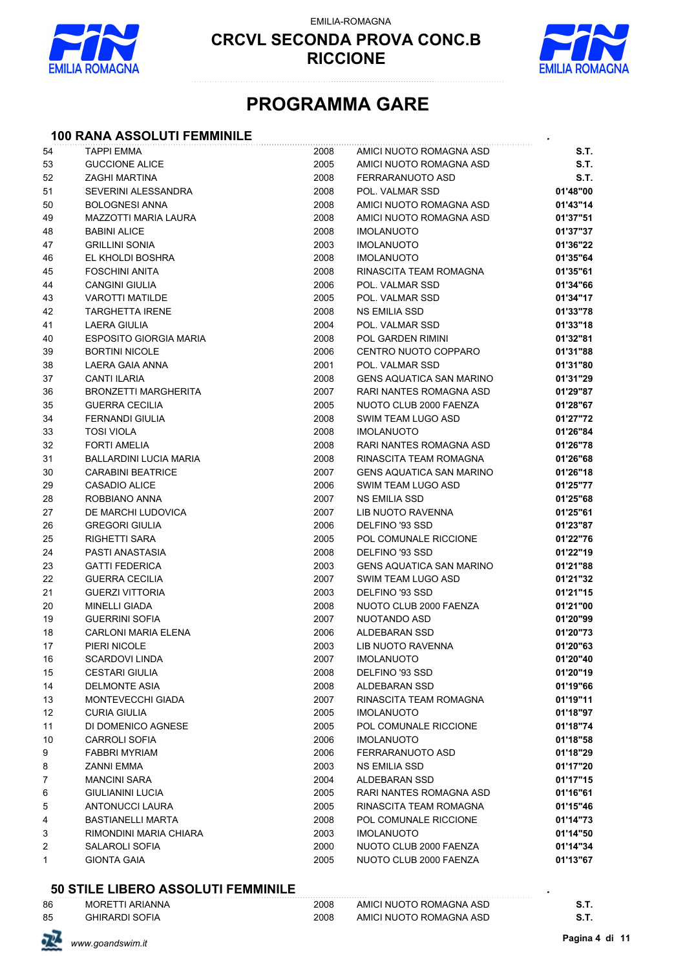

EMILIA-ROMAGNA



## **PROGRAMMA GARE**

#### **100 RANA ASSOLUTI FEMMINILE** *.*

| 54                  | <b>TAPPI EMMA</b>                   | 2008         | AMICI NUOTO ROMAGNA ASD                  | S.T.                 |
|---------------------|-------------------------------------|--------------|------------------------------------------|----------------------|
| 53                  | <b>GUCCIONE ALICE</b>               | 2005         | AMICI NUOTO ROMAGNA ASD                  | S.T.                 |
| 52                  | ZAGHI MARTINA                       | 2008         | FERRARANUOTO ASD                         | S.T.                 |
| 51                  | SEVERINI ALESSANDRA                 | 2008         | POL. VALMAR SSD                          | 01'48"00             |
| 50                  | <b>BOLOGNESI ANNA</b>               | 2008         | AMICI NUOTO ROMAGNA ASD                  | 01'43"14             |
| 49                  | MAZZOTTI MARIA LAURA                | 2008         | AMICI NUOTO ROMAGNA ASD                  | 01'37"51             |
| 48                  | <b>BABINI ALICE</b>                 | 2008         | <b>IMOLANUOTO</b>                        | 01'37"37             |
| 47                  | <b>GRILLINI SONIA</b>               | 2003         | <b>IMOLANUOTO</b>                        | 01'36"22             |
| 46                  | EL KHOLDI BOSHRA                    | 2008         | <b>IMOLANUOTO</b>                        | 01'35"64             |
| 45                  | <b>FOSCHINI ANITA</b>               | 2008         | RINASCITA TEAM ROMAGNA                   | 01'35"61             |
| 44                  | <b>CANGINI GIULIA</b>               | 2006         | POL. VALMAR SSD                          | 01'34"66             |
| 43                  | <b>VAROTTI MATILDE</b>              | 2005         | POL. VALMAR SSD                          | 01'34"17             |
| 42                  | <b>TARGHETTA IRENE</b>              | 2008         | NS EMILIA SSD                            | 01'33"78             |
| 41                  | LAERA GIULIA                        | 2004         | POL. VALMAR SSD                          | 01'33"18             |
| 40                  | <b>ESPOSITO GIORGIA MARIA</b>       | 2008         | <b>POL GARDEN RIMINI</b>                 | 01'32"81             |
| 39                  | <b>BORTINI NICOLE</b>               | 2006         | CENTRO NUOTO COPPARO                     | 01'31"88             |
| 38                  | LAERA GAIA ANNA                     | 2001         | POL. VALMAR SSD                          | 01'31"80             |
| 37                  | <b>CANTI ILARIA</b>                 | 2008         | <b>GENS AQUATICA SAN MARINO</b>          | 01'31"29             |
| 36                  | <b>BRONZETTI MARGHERITA</b>         | 2007         | RARI NANTES ROMAGNA ASD                  | 01'29"87             |
| 35                  | <b>GUERRA CECILIA</b>               | 2005         | NUOTO CLUB 2000 FAENZA                   | 01'28"67             |
| 34                  | <b>FERNANDI GIULIA</b>              | 2008         | SWIM TEAM LUGO ASD                       | 01'27"72             |
| 33                  | <b>TOSI VIOLA</b>                   | 2008         | <b>IMOLANUOTO</b>                        | 01'26"84             |
| 32                  | <b>FORTI AMELIA</b>                 | 2008         | RARI NANTES ROMAGNA ASD                  | 01'26"78             |
| 31                  | <b>BALLARDINI LUCIA MARIA</b>       | 2008         | RINASCITA TEAM ROMAGNA                   | 01'26"68             |
| 30                  | <b>CARABINI BEATRICE</b>            | 2007         | <b>GENS AQUATICA SAN MARINO</b>          | 01'26"18             |
| 29                  | CASADIO ALICE                       | 2006         | SWIM TEAM LUGO ASD                       | 01'25"77             |
| 28                  | ROBBIANO ANNA                       | 2007         | NS EMILIA SSD                            | 01'25"68             |
| 27                  | DE MARCHI LUDOVICA                  | 2007         | LIB NUOTO RAVENNA                        | 01'25"61             |
| 26                  | <b>GREGORI GIULIA</b>               | 2006         | DELFINO '93 SSD                          | 01'23"87             |
| 25                  | RIGHETTI SARA                       | 2005         | POL COMUNALE RICCIONE                    | 01'22"76             |
| 24                  | PASTI ANASTASIA                     | 2008         | DELFINO '93 SSD                          | 01'22"19             |
| 23                  | <b>GATTI FEDERICA</b>               | 2003         | <b>GENS AQUATICA SAN MARINO</b>          | 01'21"88             |
| 22                  | <b>GUERRA CECILIA</b>               | 2007         | SWIM TEAM LUGO ASD                       | 01'21"32             |
| 21                  | <b>GUERZI VITTORIA</b>              | 2003         | DELFINO '93 SSD                          | 01'21"15             |
| 20                  | <b>MINELLI GIADA</b>                | 2008         | NUOTO CLUB 2000 FAENZA                   | 01'21"00             |
| 19                  | <b>GUERRINI SOFIA</b>               | 2007         | NUOTANDO ASD                             | 01'20"99             |
| 18                  | <b>CARLONI MARIA ELENA</b>          | 2006         | ALDEBARAN SSD                            | 01'20"73             |
| 17                  | PIERI NICOLE                        | 2003         | <b>LIB NUOTO RAVENNA</b>                 | 01'20"63             |
| 16                  | <b>SCARDOVI LINDA</b>               | 2007         | <b>IMOLANUOTO</b>                        | 01'20"40             |
| 15                  | <b>CESTARI GIULIA</b>               | 2008         | DELFINO '93 SSD                          | 01'20"19             |
| 14                  | <b>DELMONTE ASIA</b>                | 2008         | ALDEBARAN SSD                            | 01'19"66             |
| 13                  | MONTEVECCHI GIADA                   | 2007         | RINASCITA TEAM ROMAGNA                   | 01'19"11             |
| 12                  | <b>CURIA GIULIA</b>                 | 2005         | <b>IMOLANUOTO</b>                        | 01'18"97             |
| 11                  | DI DOMENICO AGNESE                  | 2005         | POL COMUNALE RICCIONE                    | 01'18"74             |
| 10                  | <b>CARROLI SOFIA</b>                | 2006         | <b>IMOLANUOTO</b>                        | 01'18"58             |
| 9                   | <b>FABBRI MYRIAM</b>                | 2006         | FERRARANUOTO ASD                         | 01'18"29             |
| 8<br>$\overline{7}$ | ZANNI EMMA                          | 2003<br>2004 | NS EMILIA SSD                            | 01'17"20             |
| 6                   | <b>MANCINI SARA</b>                 | 2005         | ALDEBARAN SSD<br>RARI NANTES ROMAGNA ASD | 01'17"15             |
| 5                   | GIULIANINI LUCIA<br>ANTONUCCI LAURA | 2005         | RINASCITA TEAM ROMAGNA                   | 01'16"61<br>01'15"46 |
| 4                   | BASTIANELLI MARTA                   | 2008         | POL COMUNALE RICCIONE                    | 01'14"73             |
| 3                   | RIMONDINI MARIA CHIARA              | 2003         | <b>IMOLANUOTO</b>                        | 01'14"50             |
| 2                   | SALAROLI SOFIA                      | 2000         | NUOTO CLUB 2000 FAENZA                   | 01'14"34             |
| 1                   | <b>GIONTA GAIA</b>                  | 2005         | NUOTO CLUB 2000 FAENZA                   | 01'13"67             |
|                     |                                     |              |                                          |                      |

#### **50 STILE LIBERO ASSOLUTI FEMMINILE** *.*

| 86 | <b>MORETTI ARIANNA</b> | 2008 | AMICI NUOTO ROMAGNA ASD |        |
|----|------------------------|------|-------------------------|--------|
| 85 | <b>GHIRARDI SOFIA</b>  | 2008 | AMICI NUOTO ROMAGNA ASD | o. I . |

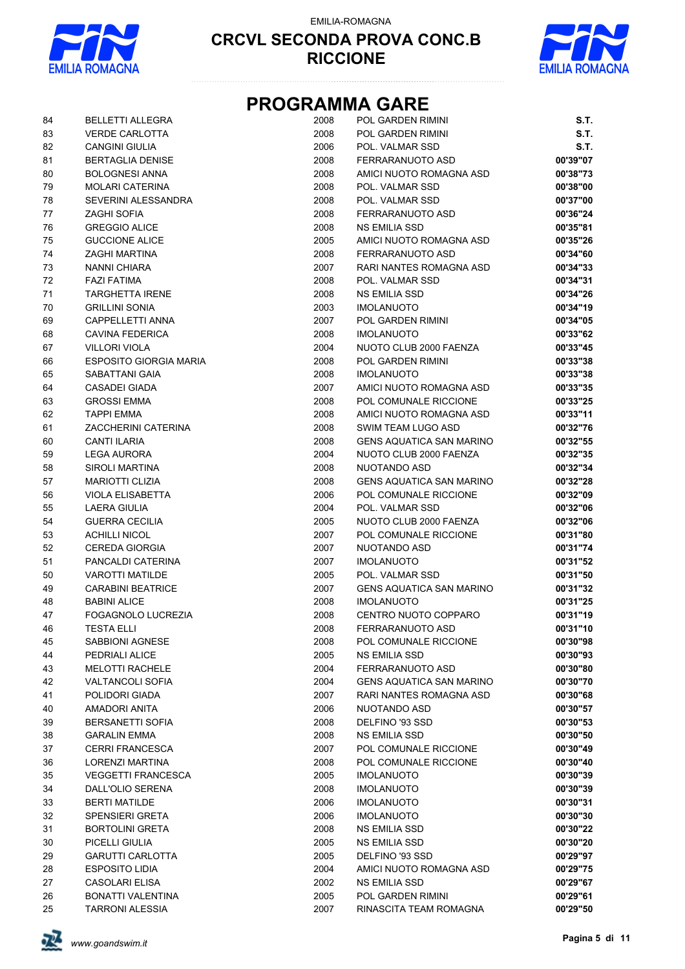

EMILIA-ROMAGNA



### **PROGRAMMA GARE**

| 84 | <b>BELLETTI ALLEGRA</b>       | 2008 | POL GARDEN RIMINI               | S.T.     |
|----|-------------------------------|------|---------------------------------|----------|
| 83 | <b>VERDE CARLOTTA</b>         | 2008 | <b>POL GARDEN RIMINI</b>        | S.T.     |
| 82 | <b>CANGINI GIULIA</b>         | 2006 | POL. VALMAR SSD                 | S.T.     |
| 81 | <b>BERTAGLIA DENISE</b>       | 2008 | FERRARANUOTO ASD                | 00'39"07 |
| 80 | <b>BOLOGNESI ANNA</b>         | 2008 | AMICI NUOTO ROMAGNA ASD         | 00'38"73 |
| 79 | <b>MOLARI CATERINA</b>        | 2008 | POL. VALMAR SSD                 | 00'38"00 |
| 78 | SEVERINI ALESSANDRA           | 2008 | POL. VALMAR SSD                 | 00'37"00 |
| 77 | <b>ZAGHI SOFIA</b>            | 2008 | FERRARANUOTO ASD                | 00'36"24 |
| 76 | <b>GREGGIO ALICE</b>          | 2008 | <b>NS EMILIA SSD</b>            | 00'35"81 |
| 75 | <b>GUCCIONE ALICE</b>         | 2005 | AMICI NUOTO ROMAGNA ASD         | 00'35"26 |
| 74 | ZAGHI MARTINA                 | 2008 | FERRARANUOTO ASD                | 00'34"60 |
| 73 | <b>NANNI CHIARA</b>           | 2007 | <b>RARI NANTES ROMAGNA ASD</b>  | 00'34"33 |
| 72 | <b>FAZI FATIMA</b>            | 2008 | POL. VALMAR SSD                 | 00'34"31 |
| 71 | <b>TARGHETTA IRENE</b>        | 2008 | <b>NS EMILIA SSD</b>            | 00'34"26 |
| 70 | <b>GRILLINI SONIA</b>         | 2003 | <b>IMOLANUOTO</b>               | 00'34"19 |
| 69 | CAPPELLETTI ANNA              | 2007 | POL GARDEN RIMINI               | 00'34"05 |
| 68 | <b>CAVINA FEDERICA</b>        | 2008 | <b>IMOLANUOTO</b>               | 00'33"62 |
| 67 | <b>VILLORI VIOLA</b>          | 2004 | NUOTO CLUB 2000 FAENZA          | 00'33"45 |
| 66 | <b>ESPOSITO GIORGIA MARIA</b> | 2008 | POL GARDEN RIMINI               | 00'33"38 |
| 65 | SABATTANI GAIA                | 2008 | <b>IMOLANUOTO</b>               | 00'33"38 |
| 64 | <b>CASADEI GIADA</b>          | 2007 | AMICI NUOTO ROMAGNA ASD         | 00'33"35 |
| 63 | <b>GROSSI EMMA</b>            | 2008 | POL COMUNALE RICCIONE           | 00'33"25 |
| 62 | <b>TAPPI EMMA</b>             | 2008 | AMICI NUOTO ROMAGNA ASD         | 00'33"11 |
| 61 | ZACCHERINI CATERINA           | 2008 | SWIM TEAM LUGO ASD              | 00'32"76 |
| 60 | <b>CANTI ILARIA</b>           | 2008 | <b>GENS AQUATICA SAN MARINO</b> | 00'32"55 |
| 59 | <b>LEGA AURORA</b>            | 2004 | NUOTO CLUB 2000 FAENZA          | 00'32"35 |
| 58 | SIROLI MARTINA                | 2008 | NUOTANDO ASD                    | 00'32"34 |
| 57 | <b>MARIOTTI CLIZIA</b>        | 2008 | <b>GENS AQUATICA SAN MARINO</b> | 00'32"28 |
| 56 | <b>VIOLA ELISABETTA</b>       | 2006 | POL COMUNALE RICCIONE           | 00'32"09 |
| 55 | LAERA GIULIA                  | 2004 | POL. VALMAR SSD                 | 00'32"06 |
| 54 | <b>GUERRA CECILIA</b>         | 2005 | NUOTO CLUB 2000 FAENZA          | 00'32"06 |
| 53 | <b>ACHILLI NICOL</b>          | 2007 | POL COMUNALE RICCIONE           | 00'31"80 |
| 52 | <b>CEREDA GIORGIA</b>         | 2007 | NUOTANDO ASD                    | 00'31"74 |
| 51 | PANCALDI CATERINA             | 2007 | <b>IMOLANUOTO</b>               | 00'31"52 |
| 50 | <b>VAROTTI MATILDE</b>        | 2005 | POL. VALMAR SSD                 | 00'31"50 |
| 49 | <b>CARABINI BEATRICE</b>      | 2007 | <b>GENS AQUATICA SAN MARINO</b> | 00'31"32 |
| 48 | <b>BABINI ALICE</b>           | 2008 | <b>IMOLANUOTO</b>               | 00'31"25 |
| 47 | FOGAGNOLO LUCREZIA            | 2008 | CENTRO NUOTO COPPARO            | 00'31"19 |
| 46 | <b>TESTA ELLI</b>             | 2008 | FERRARANUOTO ASD                | 00'31"10 |
| 45 | SABBIONI AGNESE               | 2008 | POL COMUNALE RICCIONE           | 00'30"98 |
| 44 | PEDRIALI ALICE                | 2005 | <b>NS EMILIA SSD</b>            | 00'30"93 |
| 43 | <b>MELOTTI RACHELE</b>        | 2004 | FERRARANUOTO ASD                | 00'30"80 |
| 42 | <b>VALTANCOLI SOFIA</b>       | 2004 | <b>GENS AQUATICA SAN MARINO</b> | 00'30"70 |
| 41 | POLIDORI GIADA                | 2007 | RARI NANTES ROMAGNA ASD         | 00'30"68 |
| 40 | <b>AMADORI ANITA</b>          | 2006 | NUOTANDO ASD                    | 00'30"57 |
| 39 | <b>BERSANETTI SOFIA</b>       | 2008 | DELFINO '93 SSD                 | 00'30"53 |
| 38 | <b>GARALIN EMMA</b>           | 2008 | NS EMILIA SSD                   | 00'30"50 |
| 37 | <b>CERRI FRANCESCA</b>        | 2007 | POL COMUNALE RICCIONE           | 00'30"49 |
| 36 | LORENZI MARTINA               | 2008 | POL COMUNALE RICCIONE           | 00'30"40 |
| 35 | <b>VEGGETTI FRANCESCA</b>     | 2005 | <b>IMOLANUOTO</b>               | 00'30"39 |
| 34 | DALL'OLIO SERENA              | 2008 | <b>IMOLANUOTO</b>               | 00'30"39 |
| 33 | <b>BERTI MATILDE</b>          | 2006 | <b>IMOLANUOTO</b>               | 00'30"31 |
| 32 | <b>SPENSIERI GRETA</b>        | 2006 | <b>IMOLANUOTO</b>               | 00'30"30 |
| 31 | <b>BORTOLINI GRETA</b>        | 2008 | NS EMILIA SSD                   | 00'30"22 |
| 30 | PICELLI GIULIA                | 2005 | NS EMILIA SSD                   | 00'30"20 |
| 29 | <b>GARUTTI CARLOTTA</b>       | 2005 | DELFINO '93 SSD                 | 00'29"97 |
| 28 | <b>ESPOSITO LIDIA</b>         | 2004 | AMICI NUOTO ROMAGNA ASD         | 00'29"75 |
| 27 | <b>CASOLARI ELISA</b>         | 2002 | NS EMILIA SSD                   | 00'29"67 |
| 26 | BONATTI VALENTINA             | 2005 | POL GARDEN RIMINI               | 00'29"61 |
| 25 | <b>TARRONI ALESSIA</b>        | 2007 | RINASCITA TEAM ROMAGNA          | 00'29"50 |

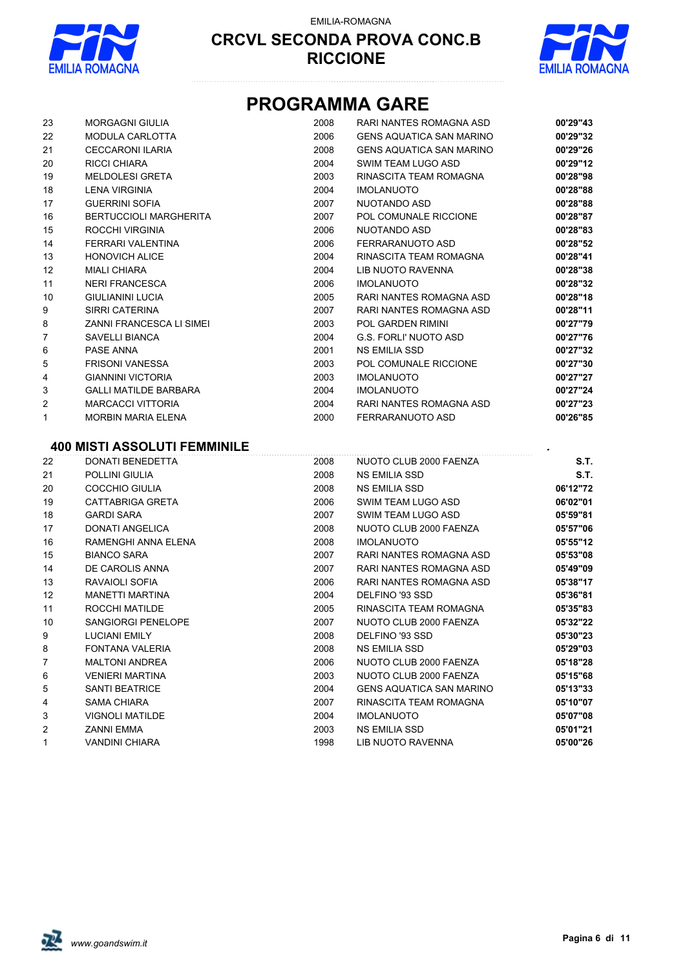

EMILIA-ROMAGNA



## **PROGRAMMA GARE**

| 23     | <b>MORGAGNI GIULIA</b>              | 2008 | RARI NANTES ROMAGNA ASD         | 00'29"43 |
|--------|-------------------------------------|------|---------------------------------|----------|
| 22     | <b>MODULA CARLOTTA</b>              | 2006 | <b>GENS AQUATICA SAN MARINO</b> | 00'29"32 |
| 21     | <b>CECCARONI ILARIA</b>             | 2008 | <b>GENS AQUATICA SAN MARINO</b> | 00'29"26 |
| 20     | <b>RICCI CHIARA</b>                 | 2004 | SWIM TEAM LUGO ASD              | 00'29"12 |
| 19     | <b>MELDOLESI GRETA</b>              | 2003 | RINASCITA TEAM ROMAGNA          | 00'28"98 |
| 18     | <b>LENA VIRGINIA</b>                | 2004 | <b>IMOLANUOTO</b>               | 00'28"88 |
| 17     | <b>GUERRINI SOFIA</b>               | 2007 | NUOTANDO ASD                    | 00'28"88 |
| 16     | <b>BERTUCCIOLI MARGHERITA</b>       | 2007 | POL COMUNALE RICCIONE           | 00'28"87 |
| 15     | ROCCHI VIRGINIA                     | 2006 | NUOTANDO ASD                    | 00'28"83 |
| 14     | FERRARI VALENTINA                   | 2006 | FERRARANUOTO ASD                | 00'28"52 |
| 13     | <b>HONOVICH ALICE</b>               | 2004 | RINASCITA TEAM ROMAGNA          | 00'28"41 |
| 12     | <b>MIALI CHIARA</b>                 | 2004 | <b>LIB NUOTO RAVENNA</b>        | 00'28"38 |
| 11     | <b>NERI FRANCESCA</b>               | 2006 | <b>IMOLANUOTO</b>               | 00'28"32 |
| 10     | <b>GIULIANINI LUCIA</b>             | 2005 | RARI NANTES ROMAGNA ASD         | 00'28"18 |
| 9      | <b>SIRRI CATERINA</b>               | 2007 | RARI NANTES ROMAGNA ASD         | 00'28"11 |
| 8      | <b>ZANNI FRANCESCA LI SIMEI</b>     | 2003 | <b>POL GARDEN RIMINI</b>        | 00'27"79 |
| 7      | <b>SAVELLI BIANCA</b>               | 2004 | <b>G.S. FORLI' NUOTO ASD</b>    | 00'27"76 |
| 6      | PASE ANNA                           | 2001 | <b>NS EMILIA SSD</b>            | 00'27"32 |
| 5      | <b>FRISONI VANESSA</b>              | 2003 | POL COMUNALE RICCIONE           | 00'27"30 |
| 4      | <b>GIANNINI VICTORIA</b>            | 2003 | <b>IMOLANUOTO</b>               | 00'27"27 |
| 3      | <b>GALLI MATILDE BARBARA</b>        | 2004 | <b>IMOLANUOTO</b>               | 00'27"24 |
| 2      | <b>MARCACCI VITTORIA</b>            | 2004 | RARI NANTES ROMAGNA ASD         | 00'27"23 |
| 1      | <b>MORBIN MARIA ELENA</b>           | 2000 | FERRARANUOTO ASD                | 00'26"85 |
|        | <b>400 MISTI ASSOLUTI FEMMINILE</b> |      |                                 |          |
| $\sim$ |                                     |      |                                 |          |

| 22 | DONATI BENEDETTA       | 2008 | NUOTO CLUB 2000 FAENZA          | S.T.     |
|----|------------------------|------|---------------------------------|----------|
| 21 | POLLINI GIULIA         | 2008 | <b>NS EMILIA SSD</b>            | S.T.     |
| 20 | <b>COCCHIO GIULIA</b>  | 2008 | NS EMILIA SSD                   | 06'12"72 |
| 19 | CATTABRIGA GRETA       | 2006 | SWIM TEAM LUGO ASD              | 06'02"01 |
| 18 | <b>GARDI SARA</b>      | 2007 | SWIM TEAM LUGO ASD              | 05'59"81 |
| 17 | DONATI ANGELICA        | 2008 | NUOTO CLUB 2000 FAENZA          | 05'57"06 |
| 16 | RAMENGHI ANNA ELENA    | 2008 | <b>IMOLANUOTO</b>               | 05'55"12 |
| 15 | <b>BIANCO SARA</b>     | 2007 | RARI NANTES ROMAGNA ASD         | 05'53"08 |
| 14 | DE CAROLIS ANNA        | 2007 | RARI NANTES ROMAGNA ASD         | 05'49"09 |
| 13 | RAVAIOLI SOFIA         | 2006 | RARI NANTES ROMAGNA ASD         | 05'38"17 |
| 12 | <b>MANETTI MARTINA</b> | 2004 | DELFINO '93 SSD                 | 05'36"81 |
| 11 | ROCCHI MATILDE         | 2005 | RINASCITA TEAM ROMAGNA          | 05'35"83 |
| 10 | SANGIORGI PENELOPE     | 2007 | NUOTO CLUB 2000 FAENZA          | 05'32"22 |
| 9  | <b>LUCIANI EMILY</b>   | 2008 | DELFINO '93 SSD                 | 05'30"23 |
| 8  | FONTANA VALERIA        | 2008 | NS EMILIA SSD                   | 05'29"03 |
| 7  | <b>MALTONI ANDREA</b>  | 2006 | NUOTO CLUB 2000 FAENZA          | 05'18"28 |
| 6  | <b>VENIERI MARTINA</b> | 2003 | NUOTO CLUB 2000 FAENZA          | 05'15"68 |
| 5  | <b>SANTI BEATRICE</b>  | 2004 | <b>GENS AQUATICA SAN MARINO</b> | 05'13"33 |
| 4  | <b>SAMA CHIARA</b>     | 2007 | RINASCITA TEAM ROMAGNA          | 05'10"07 |
| 3  | <b>VIGNOLI MATILDE</b> | 2004 | <b>IMOLANUOTO</b>               | 05'07"08 |
| 2  | <b>ZANNI EMMA</b>      | 2003 | NS EMILIA SSD                   | 05'01"21 |
| 1  | <b>VANDINI CHIARA</b>  | 1998 | LIB NUOTO RAVENNA               | 05'00"26 |

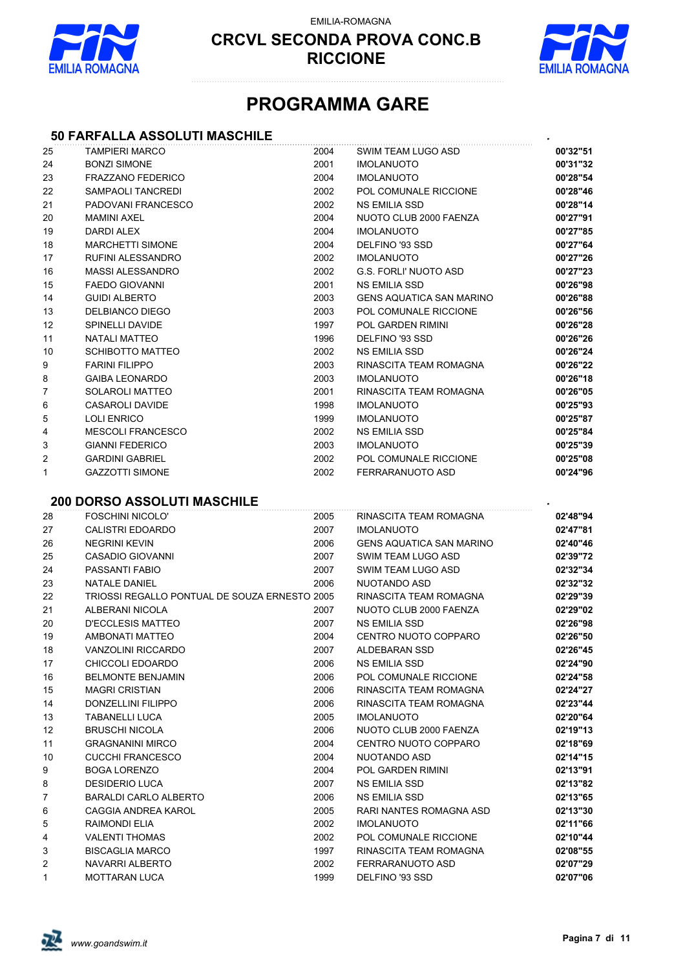

EMILIA-ROMAGNA



## **PROGRAMMA GARE**

#### **50 FARFALLA ASSOLUTI MASCHILE** *.*

|      | 50 FARFALLA ASSOLUTI MASCHILE                 |      |                                 |          |
|------|-----------------------------------------------|------|---------------------------------|----------|
| 25   | <b>TAMPIERI MARCO</b>                         | 2004 | SWIM TEAM LUGO ASD              | 00'32"51 |
| 24   | <b>BONZI SIMONE</b>                           | 2001 | <b>IMOLANUOTO</b>               | 00'31"32 |
| 23   | <b>FRAZZANO FEDERICO</b>                      | 2004 | <b>IMOLANUOTO</b>               | 00'28"54 |
| 22   | SAMPAOLI TANCREDI                             | 2002 | POL COMUNALE RICCIONE           | 00'28"46 |
| 21   | PADOVANI FRANCESCO                            | 2002 | <b>NS EMILIA SSD</b>            | 00'28"14 |
| 20   | <b>MAMINI AXEL</b>                            | 2004 | NUOTO CLUB 2000 FAENZA          | 00'27"91 |
| 19   | <b>DARDI ALEX</b>                             | 2004 | <b>IMOLANUOTO</b>               | 00'27"85 |
| 18   | <b>MARCHETTI SIMONE</b>                       | 2004 | DELFINO '93 SSD                 | 00'27"64 |
| 17   | RUFINI ALESSANDRO                             | 2002 | <b>IMOLANUOTO</b>               | 00'27"26 |
| 16   | <b>MASSI ALESSANDRO</b>                       | 2002 | <b>G.S. FORLI' NUOTO ASD</b>    | 00'27"23 |
| 15   | <b>FAEDO GIOVANNI</b>                         | 2001 | <b>NS EMILIA SSD</b>            | 00'26"98 |
| 14   | <b>GUIDI ALBERTO</b>                          | 2003 | <b>GENS AQUATICA SAN MARINO</b> | 00'26"88 |
| 13   | DELBIANCO DIEGO                               | 2003 | POL COMUNALE RICCIONE           | 00'26"56 |
| 12   | <b>SPINELLI DAVIDE</b>                        | 1997 | POL GARDEN RIMINI               | 00'26"28 |
| 11   | <b>NATALI MATTEO</b>                          | 1996 | DELFINO '93 SSD                 | 00'26"26 |
| 10   | <b>SCHIBOTTO MATTEO</b>                       | 2002 | <b>NS EMILIA SSD</b>            | 00'26"24 |
| 9    | <b>FARINI FILIPPO</b>                         | 2003 | RINASCITA TEAM ROMAGNA          | 00'26"22 |
| 8    | <b>GAIBA LEONARDO</b>                         | 2003 | <b>IMOLANUOTO</b>               | 00'26"18 |
| 7    | <b>SOLAROLI MATTEO</b>                        | 2001 | RINASCITA TEAM ROMAGNA          | 00'26"05 |
| 6    | <b>CASAROLI DAVIDE</b>                        | 1998 | <b>IMOLANUOTO</b>               | 00'25"93 |
| 5    | <b>LOLI ENRICO</b>                            | 1999 | <b>IMOLANUOTO</b>               | 00'25"87 |
| 4    | <b>MESCOLI FRANCESCO</b>                      | 2002 | <b>NS EMILIA SSD</b>            | 00'25"84 |
| 3    | <b>GIANNI FEDERICO</b>                        | 2003 | <b>IMOLANUOTO</b>               | 00'25"39 |
| 2    | <b>GARDINI GABRIEL</b>                        | 2002 | POL COMUNALE RICCIONE           | 00'25"08 |
| 1    | <b>GAZZOTTI SIMONE</b>                        | 2002 | FERRARANUOTO ASD                | 00'24"96 |
|      | <b>200 DORSO ASSOLUTI MASCHILE</b>            |      |                                 |          |
| 28   | <b>FOSCHINI NICOLO'</b>                       | 2005 | RINASCITA TEAM ROMAGNA          | 02'48"94 |
| 27   | <b>CALISTRI EDOARDO</b>                       | 2007 | <b>IMOLANUOTO</b>               | 02'47"81 |
| 26   | <b>NEGRINI KEVIN</b>                          | 2006 | <b>GENS AQUATICA SAN MARINO</b> | 02'40"46 |
| 25   | CASADIO GIOVANNI                              | 2007 | SWIM TEAM LUGO ASD              | 02'39"72 |
| 24   | PASSANTI FABIO                                | 2007 | SWIM TEAM LUGO ASD              | 02'32"34 |
| 23   | NATALE DANIEL                                 | 2006 | NUOTANDO ASD                    | 02'32"32 |
| 22   | TRIOSSI REGALLO PONTUAL DE SOUZA ERNESTO 2005 |      | RINASCITA TEAM ROMAGNA          | 02'29"39 |
| 21   | ALBERANI NICOLA                               | 2007 | NUOTO CLUB 2000 FAENZA          | 02'29"02 |
| 20   | <b>D'ECCLESIS MATTEO</b>                      | 2007 | <b>NS EMILIA SSD</b>            | 02'26"98 |
| 19   | AMBONATI MATTEO                               | 2004 | CENTRO NUOTO COPPARO            | 02'26"50 |
| $18$ | VANZOLINI RICCARDO                            | 2007 | ALDEBARAN SSD                   | 02'26"45 |
| 17   | CHICCOLI EDOARDO                              | 2006 | NS EMILIA SSD                   | 02'24"90 |
| 16   | <b>BELMONTE BENJAMIN</b>                      | 2006 | POL COMUNALE RICCIONE           | 02'24"58 |
| 15   | <b>MAGRI CRISTIAN</b>                         | 2006 | RINASCITA TEAM ROMAGNA          | 02'24"27 |
| 14   | <b>DONZELLINI FILIPPO</b>                     | 2006 | RINASCITA TEAM ROMAGNA          | 02'23"44 |
| 13   | <b>TABANELLI LUCA</b>                         | 2005 | <b>IMOLANUOTO</b>               | 02'20"64 |
| 12   | <b>BRUSCHI NICOLA</b>                         | 2006 | NUOTO CLUB 2000 FAENZA          | 02'19"13 |
| 11   | <b>GRAGNANINI MIRCO</b>                       | 2004 | CENTRO NUOTO COPPARO            | 02'18"69 |
| 10   | <b>CUCCHI FRANCESCO</b>                       | 2004 | NUOTANDO ASD                    | 02'14"15 |
| 9    | <b>BOGA LORENZO</b>                           | 2004 | POL GARDEN RIMINI               | 02'13"91 |
| 8    | <b>DESIDERIO LUCA</b>                         | 2007 | NS EMILIA SSD                   | 02'13"82 |
| 7    | <b>BARALDI CARLO ALBERTO</b>                  | 2006 | <b>NS EMILIA SSD</b>            | 02'13"65 |
| 6    | CAGGIA ANDREA KAROL                           | 2005 | RARI NANTES ROMAGNA ASD         | 02'13"30 |
| 5    | <b>RAIMONDI ELIA</b>                          | 2002 | <b>IMOLANUOTO</b>               | 02'11"66 |
| 4    | <b>VALENTI THOMAS</b>                         | 2002 | POL COMUNALE RICCIONE           | 02'10"44 |
| 3    | <b>BISCAGLIA MARCO</b>                        | 1997 | RINASCITA TEAM ROMAGNA          | 02'08"55 |
| 2    | NAVARRI ALBERTO                               | 2002 | FERRARANUOTO ASD                | 02'07"29 |
| 1    | <b>MOTTARAN LUCA</b>                          | 1999 | DELFINO '93 SSD                 | 02'07"06 |

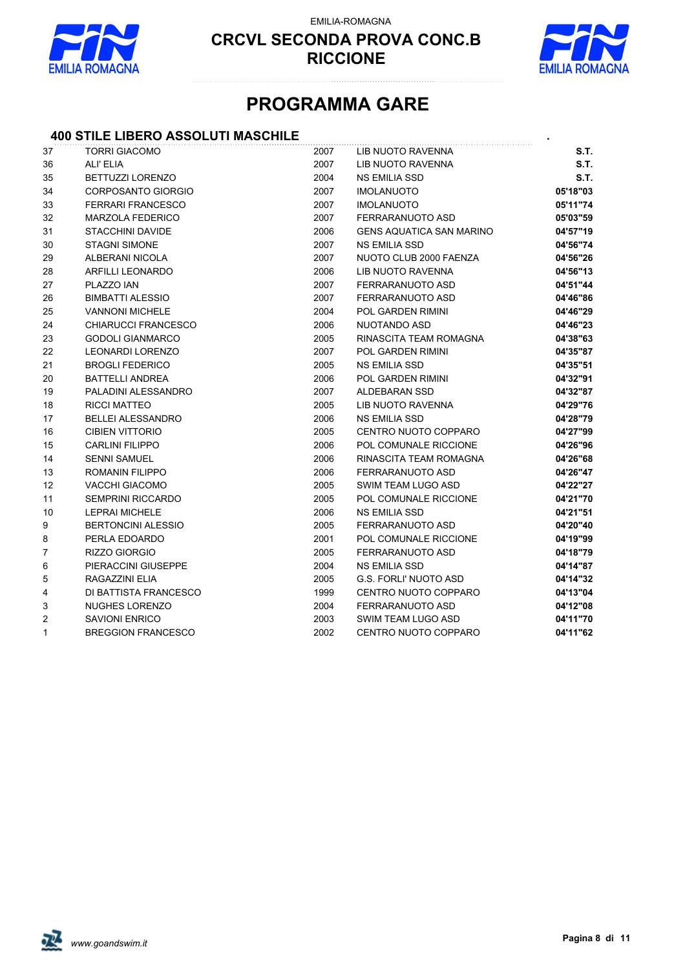

EMILIA-ROMAGNA



## **PROGRAMMA GARE**

#### **400 STILE LIBERO ASSOLUTI MASCHILE** *.*

| 37 | <b>TORRI GIACOMO</b>      | 2007 | LIB NUOTO RAVENNA               | S.T.     |
|----|---------------------------|------|---------------------------------|----------|
| 36 | ALI' ELIA                 | 2007 | <b>LIB NUOTO RAVENNA</b>        | S.T.     |
| 35 | <b>BETTUZZI LORENZO</b>   | 2004 | <b>NS EMILIA SSD</b>            | S.T.     |
| 34 | <b>CORPOSANTO GIORGIO</b> | 2007 | <b>IMOLANUOTO</b>               | 05'18"03 |
| 33 | <b>FERRARI FRANCESCO</b>  | 2007 | <b>IMOLANUOTO</b>               | 05'11"74 |
| 32 | <b>MARZOLA FEDERICO</b>   | 2007 | FERRARANUOTO ASD                | 05'03"59 |
| 31 | <b>STACCHINI DAVIDE</b>   | 2006 | <b>GENS AQUATICA SAN MARINO</b> | 04'57"19 |
| 30 | <b>STAGNI SIMONE</b>      | 2007 | <b>NS EMILIA SSD</b>            | 04'56"74 |
| 29 | ALBERANI NICOLA           | 2007 | NUOTO CLUB 2000 FAENZA          | 04'56"26 |
| 28 | ARFILLI LEONARDO          | 2006 | LIB NUOTO RAVENNA               | 04'56"13 |
| 27 | PLAZZO IAN                | 2007 | FERRARANUOTO ASD                | 04'51"44 |
| 26 | <b>BIMBATTI ALESSIO</b>   | 2007 | FERRARANUOTO ASD                | 04'46"86 |
| 25 | <b>VANNONI MICHELE</b>    | 2004 | <b>POL GARDEN RIMINI</b>        | 04'46"29 |
| 24 | CHIARUCCI FRANCESCO       | 2006 | NUOTANDO ASD                    | 04'46"23 |
| 23 | <b>GODOLI GIANMARCO</b>   | 2005 | RINASCITA TEAM ROMAGNA          | 04'38"63 |
| 22 | LEONARDI LORENZO          | 2007 | <b>POL GARDEN RIMINI</b>        | 04'35"87 |
| 21 | <b>BROGLI FEDERICO</b>    | 2005 | <b>NS EMILIA SSD</b>            | 04'35"51 |
| 20 | <b>BATTELLI ANDREA</b>    | 2006 | <b>POL GARDEN RIMINI</b>        | 04'32"91 |
| 19 | PALADINI ALESSANDRO       | 2007 | <b>ALDEBARAN SSD</b>            | 04'32"87 |
| 18 | <b>RICCI MATTEO</b>       | 2005 | LIB NUOTO RAVENNA               | 04'29"76 |
| 17 | <b>BELLEI ALESSANDRO</b>  | 2006 | <b>NS EMILIA SSD</b>            | 04'28"79 |
| 16 | <b>CIBIEN VITTORIO</b>    | 2005 | CENTRO NUOTO COPPARO            | 04'27"99 |
| 15 | <b>CARLINI FILIPPO</b>    | 2006 | POL COMUNALE RICCIONE           | 04'26"96 |
| 14 | <b>SENNI SAMUEL</b>       | 2006 | RINASCITA TEAM ROMAGNA          | 04'26"68 |
| 13 | ROMANIN FILIPPO           | 2006 | FERRARANUOTO ASD                | 04'26"47 |
| 12 | <b>VACCHI GIACOMO</b>     | 2005 | SWIM TEAM LUGO ASD              | 04'22"27 |
| 11 | <b>SEMPRINI RICCARDO</b>  | 2005 | POL COMUNALE RICCIONE           | 04'21"70 |
| 10 | <b>LEPRAI MICHELE</b>     | 2006 | <b>NS EMILIA SSD</b>            | 04'21"51 |
| 9  | <b>BERTONCINI ALESSIO</b> | 2005 | FERRARANUOTO ASD                | 04'20"40 |
| 8  | PERLA EDOARDO             | 2001 | <b>POL COMUNALE RICCIONE</b>    | 04'19"99 |
| 7  | RIZZO GIORGIO             | 2005 | <b>FERRARANUOTO ASD</b>         | 04'18"79 |
| 6  | PIERACCINI GIUSEPPE       | 2004 | <b>NS EMILIA SSD</b>            | 04'14"87 |
| 5  | RAGAZZINI ELIA            | 2005 | <b>G.S. FORLI' NUOTO ASD</b>    | 04'14"32 |
| 4  | DI BATTISTA FRANCESCO     | 1999 | CENTRO NUOTO COPPARO            | 04'13"04 |
| 3  | <b>NUGHES LORENZO</b>     | 2004 | FERRARANUOTO ASD                | 04'12"08 |
| 2  | <b>SAVIONI ENRICO</b>     | 2003 | SWIM TEAM LUGO ASD              | 04'11"70 |
| 1  | <b>BREGGION FRANCESCO</b> | 2002 | CENTRO NUOTO COPPARO            | 04'11"62 |
|    |                           |      |                                 |          |

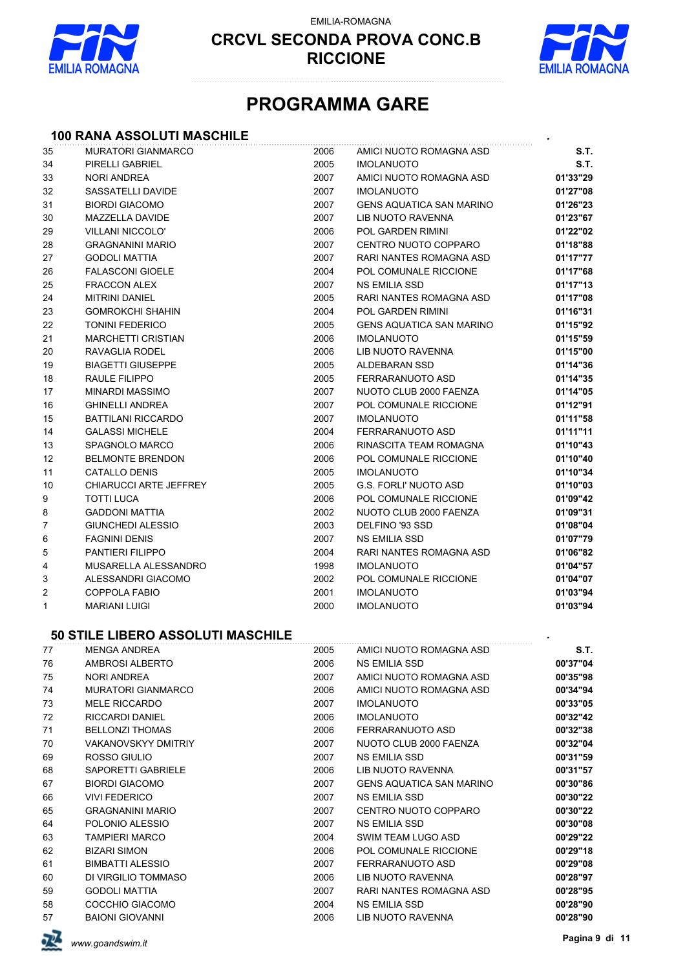

EMILIA-ROMAGNA



## **PROGRAMMA GARE**

# **100 RANA ASSOLUTI MASCHILE** *.*

| 35 | <b>MURATORI GIANMARCO</b>         | 2006 | AMICI NUOTO ROMAGNA ASD         | S.T.     |
|----|-----------------------------------|------|---------------------------------|----------|
| 34 | PIRELLI GABRIEL                   | 2005 | <b>IMOLANUOTO</b>               | S.T.     |
| 33 | <b>NORI ANDREA</b>                | 2007 | AMICI NUOTO ROMAGNA ASD         | 01'33"29 |
| 32 | SASSATELLI DAVIDE                 | 2007 | <b>IMOLANUOTO</b>               | 01'27"08 |
| 31 | <b>BIORDI GIACOMO</b>             | 2007 | <b>GENS AQUATICA SAN MARINO</b> | 01'26"23 |
| 30 | MAZZELLA DAVIDE                   | 2007 | LIB NUOTO RAVENNA               | 01'23"67 |
| 29 | <b>VILLANI NICCOLO'</b>           | 2006 | POL GARDEN RIMINI               | 01'22"02 |
| 28 | <b>GRAGNANINI MARIO</b>           | 2007 | CENTRO NUOTO COPPARO            | 01'18"88 |
| 27 | <b>GODOLI MATTIA</b>              | 2007 | RARI NANTES ROMAGNA ASD         | 01'17"77 |
| 26 | <b>FALASCONI GIOELE</b>           | 2004 | POL COMUNALE RICCIONE           | 01'17"68 |
| 25 | <b>FRACCON ALEX</b>               | 2007 | NS EMILIA SSD                   | 01'17"13 |
| 24 | <b>MITRINI DANIEL</b>             | 2005 | RARI NANTES ROMAGNA ASD         | 01'17"08 |
| 23 | <b>GOMROKCHI SHAHIN</b>           | 2004 | POL GARDEN RIMINI               | 01'16"31 |
| 22 | <b>TONINI FEDERICO</b>            | 2005 | <b>GENS AQUATICA SAN MARINO</b> | 01'15"92 |
| 21 | <b>MARCHETTI CRISTIAN</b>         | 2006 | <b>IMOLANUOTO</b>               | 01'15"59 |
| 20 | RAVAGLIA RODEL                    | 2006 | LIB NUOTO RAVENNA               | 01'15"00 |
| 19 | <b>BIAGETTI GIUSEPPE</b>          | 2005 | ALDEBARAN SSD                   | 01'14"36 |
| 18 | RAULE FILIPPO                     | 2005 | FERRARANUOTO ASD                | 01'14"35 |
| 17 | <b>MINARDI MASSIMO</b>            | 2007 | NUOTO CLUB 2000 FAENZA          | 01'14"05 |
| 16 | <b>GHINELLI ANDREA</b>            | 2007 | POL COMUNALE RICCIONE           | 01'12"91 |
| 15 | <b>BATTILANI RICCARDO</b>         | 2007 | <b>IMOLANUOTO</b>               | 01'11"58 |
| 14 | <b>GALASSI MICHELE</b>            | 2004 | FERRARANUOTO ASD                | 01'11"11 |
| 13 | SPAGNOLO MARCO                    | 2006 | RINASCITA TEAM ROMAGNA          | 01'10"43 |
| 12 | <b>BELMONTE BRENDON</b>           | 2006 | POL COMUNALE RICCIONE           | 01'10"40 |
| 11 | <b>CATALLO DENIS</b>              | 2005 | <b>IMOLANUOTO</b>               | 01'10"34 |
| 10 | CHIARUCCI ARTE JEFFREY            | 2005 | G.S. FORLI' NUOTO ASD           | 01'10"03 |
| 9  | <b>TOTTI LUCA</b>                 | 2006 | POL COMUNALE RICCIONE           | 01'09"42 |
| 8  | <b>GADDONI MATTIA</b>             | 2002 | NUOTO CLUB 2000 FAENZA          | 01'09"31 |
| 7  | GIUNCHEDI ALESSIO                 | 2003 | DELFINO '93 SSD                 | 01'08"04 |
| 6  | <b>FAGNINI DENIS</b>              | 2007 | NS EMILIA SSD                   | 01'07"79 |
| 5  | PANTIERI FILIPPO                  | 2004 | RARI NANTES ROMAGNA ASD         | 01'06"82 |
| 4  | MUSARELLA ALESSANDRO              | 1998 | <b>IMOLANUOTO</b>               | 01'04"57 |
| 3  | ALESSANDRI GIACOMO                | 2002 | POL COMUNALE RICCIONE           | 01'04"07 |
| 2  | <b>COPPOLA FABIO</b>              | 2001 | <b>IMOLANUOTO</b>               | 01'03"94 |
| 1  | <b>MARIANI LUIGI</b>              | 2000 | <b>IMOLANUOTO</b>               | 01'03"94 |
|    | 50 STILE LIBERO ASSOLUTI MASCHILE |      |                                 |          |
| 77 | <b>MENGA ANDREA</b>               | 2005 | AMICI NUOTO ROMAGNA ASD         | S.T.     |
| 76 | AMBROSI ALBERTO                   | 2006 | NS EMILIA SSD                   | 00'37"04 |
| 75 | NORI ANDREA                       | 2007 | AMICI NUOTO ROMAGNA ASD         | 00'35"98 |
| 74 | <b>MURATORI GIANMARCO</b>         | 2006 | AMICI NUOTO ROMAGNA ASD         | 00'34"94 |
| 73 | <b>MELE RICCARDO</b>              | 2007 | <b>IMOLANUOTO</b>               | 00'33"05 |
| 72 | RICCARDI DANIEL                   | 2006 | <b>IMOLANUOTO</b>               | 00'32"42 |
| 71 | <b>BELLONZI THOMAS</b>            | 2006 | FERRARANUOTO ASD                | 00'32"38 |
| 70 | <b>VAKANOVSKYY DMITRIY</b>        | 2007 | NUOTO CLUB 2000 FAENZA          | 00'32"04 |
| 69 | ROSSO GIULIO                      | 2007 | <b>NS EMILIA SSD</b>            | 00'31"59 |
| 68 | SAPORETTI GABRIELE                | 2006 | LIB NUOTO RAVENNA               | 00'31"57 |
| 67 | <b>BIORDI GIACOMO</b>             | 2007 | <b>GENS AQUATICA SAN MARINO</b> | 00'30"86 |
| 66 | <b>VIVI FEDERICO</b>              | 2007 | NS EMILIA SSD                   | 00'30"22 |
| 65 | <b>GRAGNANINI MARIO</b>           | 2007 | CENTRO NUOTO COPPARO            | 00'30"22 |
| 64 | POLONIO ALESSIO                   | 2007 | NS EMILIA SSD                   | 00'30"08 |
| 63 | <b>TAMPIERI MARCO</b>             | 2004 | SWIM TEAM LUGO ASD              | 00'29"22 |
| 62 | <b>BIZARI SIMON</b>               | 2006 | POL COMUNALE RICCIONE           | 00'29"18 |
| 61 | <b>BIMBATTI ALESSIO</b>           | 2007 | FERRARANUOTO ASD                | 00'29"08 |
| 60 | DI VIRGILIO TOMMASO               | 2006 | LIB NUOTO RAVENNA               | 00'28"97 |
| 59 | <b>GODOLI MATTIA</b>              | 2007 | RARI NANTES ROMAGNA ASD         | 00'28"95 |
| 58 | COCCHIO GIACOMO                   | 2004 | <b>NS EMILIA SSD</b>            | 00'28"90 |
| 57 | <b>BAIONI GIOVANNI</b>            | 2006 | LIB NUOTO RAVENNA               | 00'28"90 |

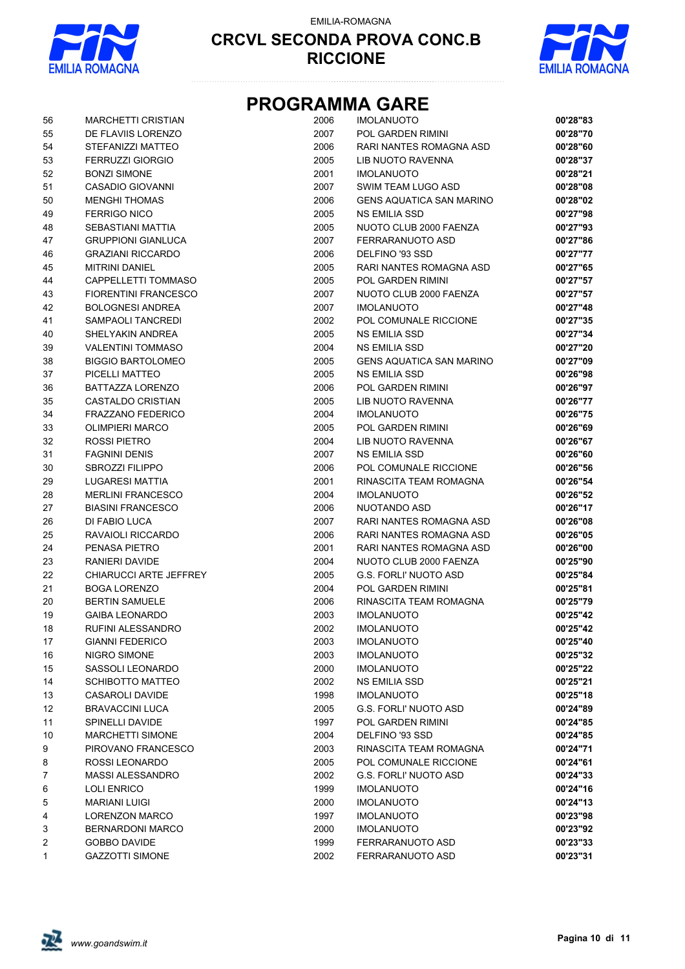

EMILIA-ROMAGNA



## **PROGRAMMA GARE**

| 56             | <b>MARCHETTI CRISTIAN</b>     | 2006 | <b>IMOLANUOTO</b>                  | 00'28"83 |
|----------------|-------------------------------|------|------------------------------------|----------|
| 55             | DE FLAVIIS LORENZO            | 2007 | POL GARDEN RIMINI                  | 00'28"70 |
| 54             | STEFANIZZI MATTEO             | 2006 | RARI NANTES ROMAGNA ASD            | 00'28"60 |
| 53             | <b>FERRUZZI GIORGIO</b>       | 2005 | LIB NUOTO RAVENNA                  | 00'28"37 |
| 52             | <b>BONZI SIMONE</b>           | 2001 | <b>IMOLANUOTO</b>                  | 00'28"21 |
| 51             | <b>CASADIO GIOVANNI</b>       | 2007 | SWIM TEAM LUGO ASD                 | 00'28"08 |
| 50             | <b>MENGHI THOMAS</b>          | 2006 | <b>GENS AQUATICA SAN MARINO</b>    | 00'28"02 |
| 49             | <b>FERRIGO NICO</b>           | 2005 | <b>NS EMILIA SSD</b>               | 00'27"98 |
| 48             | SEBASTIANI MATTIA             | 2005 | NUOTO CLUB 2000 FAENZA             | 00'27"93 |
| 47             | <b>GRUPPIONI GIANLUCA</b>     | 2007 | FERRARANUOTO ASD                   | 00'27"86 |
| 46             | <b>GRAZIANI RICCARDO</b>      | 2006 | DELFINO '93 SSD                    | 00'27"77 |
| 45             | <b>MITRINI DANIEL</b>         | 2005 | RARI NANTES ROMAGNA ASD            | 00'27"65 |
| 44             | CAPPELLETTI TOMMASO           | 2005 | POL GARDEN RIMINI                  | 00'27"57 |
| 43             | <b>FIORENTINI FRANCESCO</b>   | 2007 | NUOTO CLUB 2000 FAENZA             | 00'27"57 |
| 42             | <b>BOLOGNESI ANDREA</b>       | 2007 | <b>IMOLANUOTO</b>                  | 00'27"48 |
| 41             | SAMPAOLI TANCREDI             | 2002 | POL COMUNALE RICCIONE              | 00'27"35 |
| 40             | SHELYAKIN ANDREA              | 2005 | <b>NS EMILIA SSD</b>               | 00'27"34 |
| 39             | <b>VALENTINI TOMMASO</b>      | 2004 | NS EMILIA SSD                      | 00'27"20 |
| 38             | <b>BIGGIO BARTOLOMEO</b>      | 2005 | <b>GENS AQUATICA SAN MARINO</b>    | 00'27"09 |
| 37             | PICELLI MATTEO                | 2005 | <b>NS EMILIA SSD</b>               | 00'26"98 |
| 36             | <b>BATTAZZA LORENZO</b>       | 2006 | POL GARDEN RIMINI                  | 00'26"97 |
| 35             | CASTALDO CRISTIAN             | 2005 | LIB NUOTO RAVENNA                  | 00'26"77 |
| 34             | <b>FRAZZANO FEDERICO</b>      | 2004 | <b>IMOLANUOTO</b>                  | 00'26"75 |
| 33             | <b>OLIMPIERI MARCO</b>        | 2005 | POL GARDEN RIMINI                  | 00'26"69 |
| 32             | ROSSI PIETRO                  | 2004 | LIB NUOTO RAVENNA                  | 00'26"67 |
| 31             | <b>FAGNINI DENIS</b>          | 2007 | <b>NS EMILIA SSD</b>               | 00'26"60 |
| 30             | <b>SBROZZI FILIPPO</b>        | 2006 | POL COMUNALE RICCIONE              | 00'26"56 |
| 29             | <b>LUGARESI MATTIA</b>        | 2001 | RINASCITA TEAM ROMAGNA             | 00'26"54 |
| 28             | <b>MERLINI FRANCESCO</b>      | 2004 | <b>IMOLANUOTO</b>                  | 00'26"52 |
| 27             | <b>BIASINI FRANCESCO</b>      | 2006 | NUOTANDO ASD                       | 00'26"17 |
| 26             | DI FABIO LUCA                 | 2007 | RARI NANTES ROMAGNA ASD            | 00'26"08 |
| 25             | RAVAIOLI RICCARDO             | 2006 | RARI NANTES ROMAGNA ASD            | 00'26"05 |
| 24             | PENASA PIETRO                 | 2001 | RARI NANTES ROMAGNA ASD            | 00'26"00 |
| 23             | RANIERI DAVIDE                | 2004 | NUOTO CLUB 2000 FAENZA             | 00'25"90 |
| 22             | <b>CHIARUCCI ARTE JEFFREY</b> | 2005 | <b>G.S. FORLI' NUOTO ASD</b>       | 00'25"84 |
| 21             | <b>BOGA LORENZO</b>           | 2004 | <b>POL GARDEN RIMINI</b>           | 00'25"81 |
| 20             | <b>BERTIN SAMUELE</b>         | 2006 | RINASCITA TEAM ROMAGNA             | 00'25"79 |
| 19             | <b>GAIBA LEONARDO</b>         | 2003 | <b>IMOLANUOTO</b>                  | 00'25"42 |
| 18             | RUFINI ALESSANDRO             | 2002 | <b>IMOLANUOTO</b>                  | 00'25"42 |
| 17             | <b>GIANNI FEDERICO</b>        | 2003 | <b>IMOLANUOTO</b>                  | 00'25"40 |
|                | NIGRO SIMONE                  | 2003 |                                    | 00'25"32 |
| 16             | SASSOLI LEONARDO              | 2000 | <b>IMOLANUOTO</b>                  | 00'25"22 |
| 15             | <b>SCHIBOTTO MATTEO</b>       |      | <b>IMOLANUOTO</b>                  |          |
| 14             | <b>CASAROLI DAVIDE</b>        | 2002 | NS EMILIA SSD<br><b>IMOLANUOTO</b> | 00'25"21 |
| 13             |                               | 1998 |                                    | 00'25"18 |
| 12             | <b>BRAVACCINI LUCA</b>        | 2005 | <b>G.S. FORLI' NUOTO ASD</b>       | 00'24"89 |
| 11             | <b>SPINELLI DAVIDE</b>        | 1997 | POL GARDEN RIMINI                  | 00'24"85 |
| 10             | <b>MARCHETTI SIMONE</b>       | 2004 | DELFINO '93 SSD                    | 00'24"85 |
| 9              | PIROVANO FRANCESCO            | 2003 | RINASCITA TEAM ROMAGNA             | 00'24"71 |
| 8              | ROSSI LEONARDO                | 2005 | POL COMUNALE RICCIONE              | 00'24"61 |
| 7              | <b>MASSI ALESSANDRO</b>       | 2002 | <b>G.S. FORLI' NUOTO ASD</b>       | 00'24"33 |
| 6              | <b>LOLI ENRICO</b>            | 1999 | <b>IMOLANUOTO</b>                  | 00'24"16 |
| 5              | <b>MARIANI LUIGI</b>          | 2000 | <b>IMOLANUOTO</b>                  | 00'24"13 |
| 4              | <b>LORENZON MARCO</b>         | 1997 | <b>IMOLANUOTO</b>                  | 00'23"98 |
| 3              | <b>BERNARDONI MARCO</b>       | 2000 | <b>IMOLANUOTO</b>                  | 00'23"92 |
| $\overline{c}$ | <b>GOBBO DAVIDE</b>           | 1999 | FERRARANUOTO ASD                   | 00'23"33 |
| 1              | <b>GAZZOTTI SIMONE</b>        | 2002 | FERRARANUOTO ASD                   | 00'23"31 |